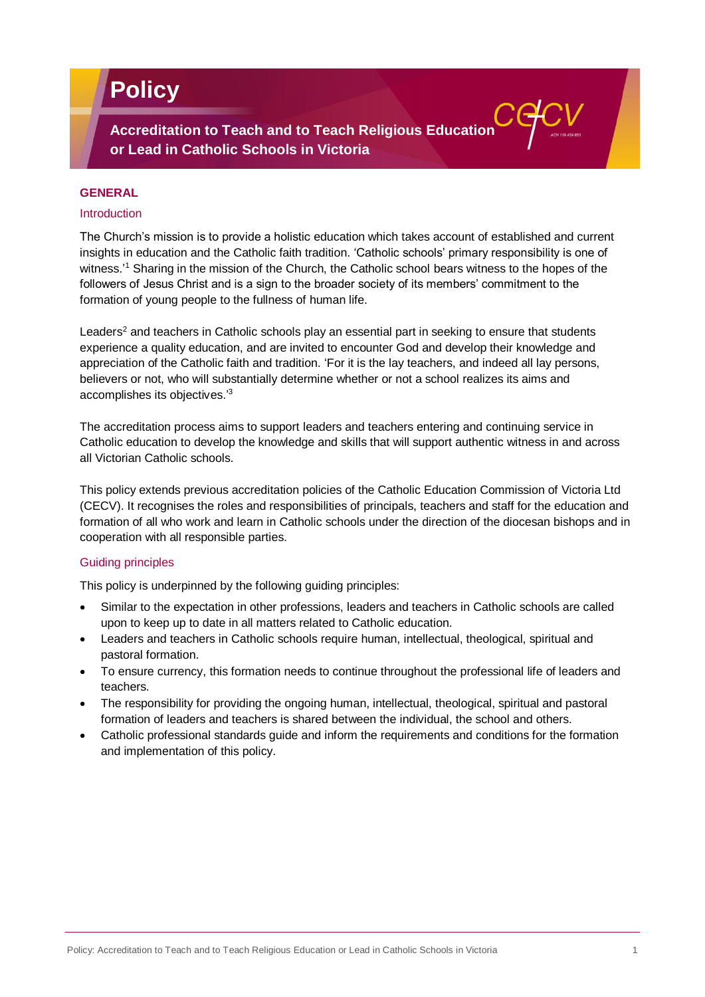# **Policy**

**Accreditation to Teach and to Teach Religious Education or Lead in Catholic Schools in Victoria**

## **GENERAL**

# Introduction

The Church's mission is to provide a holistic education which takes account of established and current insights in education and the Catholic faith tradition. 'Catholic schools' primary responsibility is one of witness.'<sup>1</sup> Sharing in the mission of the Church, the Catholic school bears witness to the hopes of the followers of Jesus Christ and is a sign to the broader society of its members' commitment to the formation of young people to the fullness of human life.

Leaders<sup>2</sup> and teachers in Catholic schools play an essential part in seeking to ensure that students experience a quality education, and are invited to encounter God and develop their knowledge and appreciation of the Catholic faith and tradition. 'For it is the lay teachers, and indeed all lay persons, believers or not, who will substantially determine whether or not a school realizes its aims and accomplishes its objectives.'<sup>3</sup>

The accreditation process aims to support leaders and teachers entering and continuing service in Catholic education to develop the knowledge and skills that will support authentic witness in and across all Victorian Catholic schools.

This policy extends previous accreditation policies of the Catholic Education Commission of Victoria Ltd (CECV). It recognises the roles and responsibilities of principals, teachers and staff for the education and formation of all who work and learn in Catholic schools under the direction of the diocesan bishops and in cooperation with all responsible parties.

# Guiding principles

This policy is underpinned by the following guiding principles:

- Similar to the expectation in other professions, leaders and teachers in Catholic schools are called upon to keep up to date in all matters related to Catholic education.
- Leaders and teachers in Catholic schools require human, intellectual, theological, spiritual and pastoral formation.
- To ensure currency, this formation needs to continue throughout the professional life of leaders and teachers.
- The responsibility for providing the ongoing human, intellectual, theological, spiritual and pastoral formation of leaders and teachers is shared between the individual, the school and others.
- Catholic professional standards guide and inform the requirements and conditions for the formation and implementation of this policy.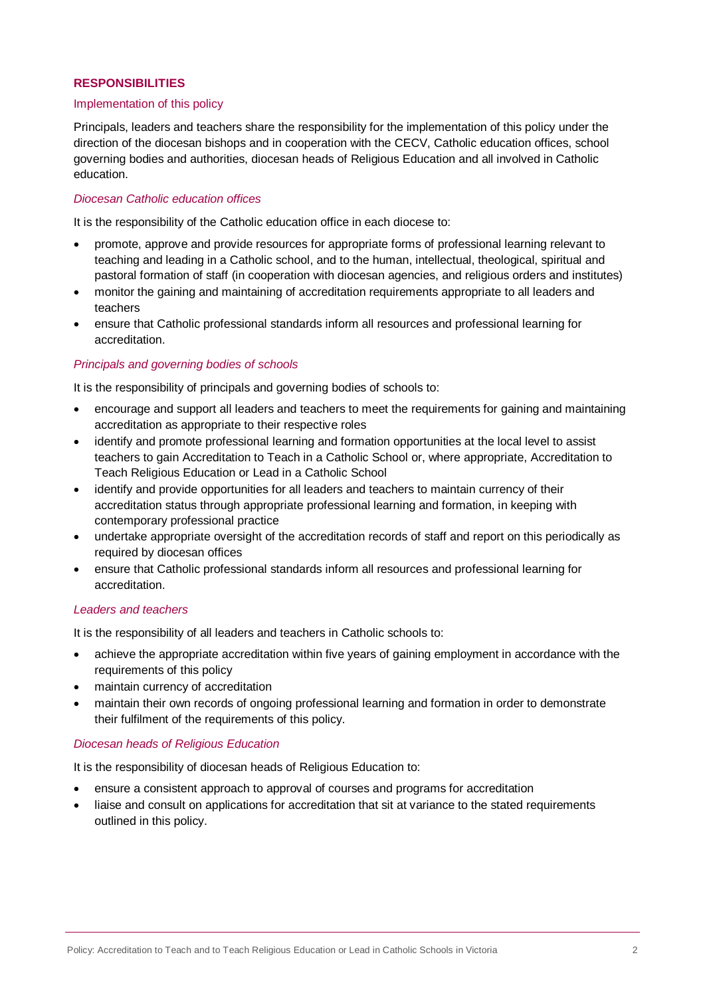## **RESPONSIBILITIES**

#### Implementation of this policy

Principals, leaders and teachers share the responsibility for the implementation of this policy under the direction of the diocesan bishops and in cooperation with the CECV, Catholic education offices, school governing bodies and authorities, diocesan heads of Religious Education and all involved in Catholic education.

# *Diocesan Catholic education offices*

It is the responsibility of the Catholic education office in each diocese to:

- promote, approve and provide resources for appropriate forms of professional learning relevant to teaching and leading in a Catholic school, and to the human, intellectual, theological, spiritual and pastoral formation of staff (in cooperation with diocesan agencies, and religious orders and institutes)
- monitor the gaining and maintaining of accreditation requirements appropriate to all leaders and teachers
- ensure that Catholic professional standards inform all resources and professional learning for accreditation.

## *Principals and governing bodies of schools*

It is the responsibility of principals and governing bodies of schools to:

- encourage and support all leaders and teachers to meet the requirements for gaining and maintaining accreditation as appropriate to their respective roles
- identify and promote professional learning and formation opportunities at the local level to assist teachers to gain Accreditation to Teach in a Catholic School or, where appropriate, Accreditation to Teach Religious Education or Lead in a Catholic School
- identify and provide opportunities for all leaders and teachers to maintain currency of their accreditation status through appropriate professional learning and formation, in keeping with contemporary professional practice
- undertake appropriate oversight of the accreditation records of staff and report on this periodically as required by diocesan offices
- ensure that Catholic professional standards inform all resources and professional learning for accreditation.

#### *Leaders and teachers*

It is the responsibility of all leaders and teachers in Catholic schools to:

- achieve the appropriate accreditation within five years of gaining employment in accordance with the requirements of this policy
- maintain currency of accreditation
- maintain their own records of ongoing professional learning and formation in order to demonstrate their fulfilment of the requirements of this policy.

#### *Diocesan heads of Religious Education*

It is the responsibility of diocesan heads of Religious Education to:

- ensure a consistent approach to approval of courses and programs for accreditation
- liaise and consult on applications for accreditation that sit at variance to the stated requirements outlined in this policy.